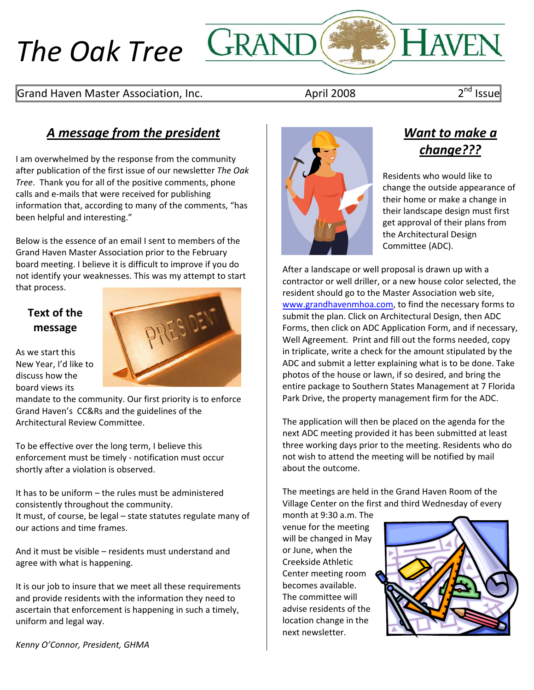# *The Oak Tree*



## *A message from the president*

I am overwhelmed by the response from the community after publication of the first issue of our newsletter *The Oak Tree*. Thank you for all of the positive comments, phone calls and e‐mails that were received for publishing information that, according to many of the comments, "has been helpful and interesting."

Below is the essence of an email I sent to members of the Grand Haven Master Association prior to the February board meeting. I believe it is difficult to improve if you do not identify your weaknesses. This was my attempt to start that process.

### **Text of the message**

As we start this New Year, I'd like to discuss how the board views its

mandate to the community. Our first priority is to enforce Grand Haven's CC&Rs and the guidelines of the Architectural Review Committee.

To be effective over the long term, I believe this enforcement must be timely ‐ notification must occur shortly after a violation is observed.

It has to be uniform – the rules must be administered consistently throughout the community. It must, of course, be legal – state statutes regulate many of our actions and time frames.

And it must be visible – residents must understand and agree with what is happening.

It is our job to insure that we meet all these requirements and provide residents with the information they need to ascertain that enforcement is happening in such a timely, uniform and legal way.

*Kenny O'Connor, President, GHMA*



# *Want to make a change???*

Residents who would like to change the outside appearance of their home or make a change in their landscape design must first get approval of their plans from the Architectural Design Committee (ADC).

After a landscape or well proposal is drawn up with a contractor or well driller, or a new house color selected, the resident should go to the Master Association web site, www.grandhavenmhoa.com, to find the necessary forms to submit the plan. Click on Architectural Design, then ADC Forms, then click on ADC Application Form, and if necessary, Well Agreement. Print and fill out the forms needed, copy in triplicate, write a check for the amount stipulated by the ADC and submit a letter explaining what is to be done. Take photos of the house or lawn, if so desired, and bring the entire package to Southern States Management at 7 Florida Park Drive, the property management firm for the ADC.

The application will then be placed on the agenda for the next ADC meeting provided it has been submitted at least three working days prior to the meeting. Residents who do not wish to attend the meeting will be notified by mail about the outcome.

The meetings are held in the Grand Haven Room of the Village Center on the first and third Wednesday of every

month at 9:30 a.m. The venue for the meeting will be changed in May or June, when the Creekside Athletic Center meeting room becomes available. The committee will advise residents of the location change in the next newsletter.

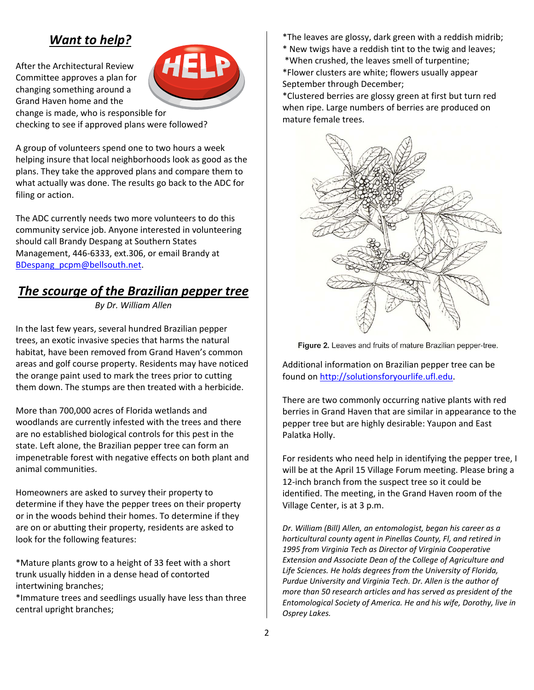## *Want to help?*

After the Architectural Review Committee approves a plan for changing something around a Grand Haven home and the change is made, who is responsible for checking to see if approved plans were followed?



A group of volunteers spend one to two hours a week helping insure that local neighborhoods look as good as the plans. They take the approved plans and compare them to what actually was done. The results go back to the ADC for filing or action.

The ADC currently needs two more volunteers to do this community service job. Anyone interested in volunteering should call Brandy Despang at Southern States Management, 446‐6333, ext.306, or email Brandy at BDespang\_pcpm@bellsouth.net.

## *The scourge of the Brazilian pepper tree*

*By Dr. William Allen*

In the last few years, several hundred Brazilian pepper trees, an exotic invasive species that harms the natural habitat, have been removed from Grand Haven's common areas and golf course property. Residents may have noticed the orange paint used to mark the trees prior to cutting them down. The stumps are then treated with a herbicide.

More than 700,000 acres of Florida wetlands and woodlands are currently infested with the trees and there are no established biological controls for this pest in the state. Left alone, the Brazilian pepper tree can form an impenetrable forest with negative effects on both plant and animal communities.

Homeowners are asked to survey their property to determine if they have the pepper trees on their property or in the woods behind their homes. To determine if they are on or abutting their property, residents are asked to look for the following features:

\*Mature plants grow to a height of 33 feet with a short trunk usually hidden in a dense head of contorted intertwining branches;

\*Immature trees and seedlings usually have less than three central upright branches;

- \*The leaves are glossy, dark green with a reddish midrib;
- \* New twigs have a reddish tint to the twig and leaves;
- \*When crushed, the leaves smell of turpentine;

\*Flower clusters are white; flowers usually appear September through December;

\*Clustered berries are glossy green at first but turn red when ripe. Large numbers of berries are produced on mature female trees.



Figure 2. Leaves and fruits of mature Brazilian pepper-tree.

Additional information on Brazilian pepper tree can be found on http://solutionsforyourlife.ufl.edu.

There are two commonly occurring native plants with red berries in Grand Haven that are similar in appearance to the pepper tree but are highly desirable: Yaupon and East Palatka Holly.

For residents who need help in identifying the pepper tree, I will be at the April 15 Village Forum meeting. Please bring a 12-inch branch from the suspect tree so it could be identified. The meeting, in the Grand Haven room of the Village Center, is at 3 p.m.

*Dr. William (Bill) Allen, an entomologist, began his career as a horticultural county agent in Pinellas County, Fl, and retired in 1995 from Virginia Tech as Director of Virginia Cooperative Extension and Associate Dean of the College of Agriculture and Life Sciences. He holds degrees from the University of Florida, Purdue University and Virginia Tech. Dr. Allen is the author of more than 50 research articles and has served as president of the Entomological Society of America. He and his wife, Dorothy, live in Osprey Lakes.*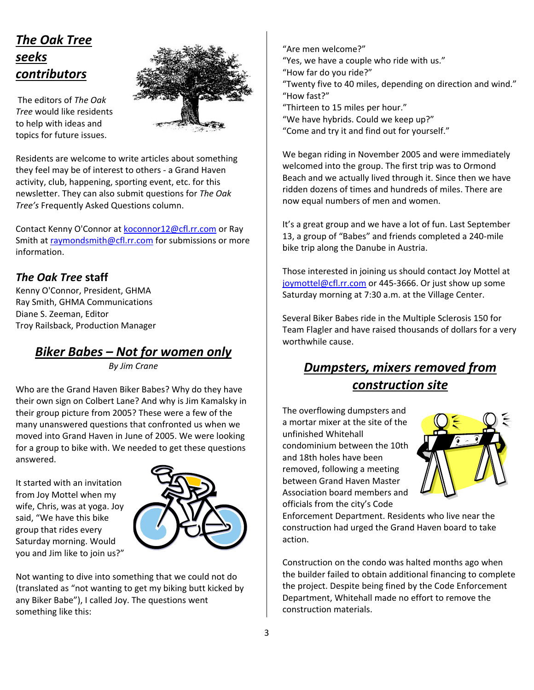# *The Oak Tree seeks contributors*

The editors of *The Oak Tree* would like residents to help with ideas and topics for future issues.



Residents are welcome to write articles about something they feel may be of interest to others ‐ a Grand Haven activity, club, happening, sporting event, etc. for this newsletter. They can also submit questions for *The Oak Tree's* Frequently Asked Questions column.

Contact Kenny O'Connor at koconnor12@cfl.rr.com or Ray Smith at raymondsmith@cfl.rr.com for submissions or more information.

### *The Oak Tree* **staff**

Kenny O'Connor, President, GHMA Ray Smith, GHMA Communications Diane S. Zeeman, Editor Troy Railsback, Production Manager

## *Biker Babes – Not for women only*

*By Jim Crane*

Who are the Grand Haven Biker Babes? Why do they have their own sign on Colbert Lane? And why is Jim Kamalsky in their group picture from 2005? These were a few of the many unanswered questions that confronted us when we moved into Grand Haven in June of 2005. We were looking for a group to bike with. We needed to get these questions answered.

It started with an invitation from Joy Mottel when my wife, Chris, was at yoga. Joy said, "We have this bike group that rides every Saturday morning. Would you and Jim like to join us?"



Not wanting to dive into something that we could not do (translated as "not wanting to get my biking butt kicked by any Biker Babe"), I called Joy. The questions went something like this:

"Are men welcome?" "Yes, we have a couple who ride with us." "How far do you ride?" "Twenty five to 40 miles, depending on direction and wind." "How fast?" "Thirteen to 15 miles per hour." "We have hybrids. Could we keep up?" "Come and try it and find out for yourself."

We began riding in November 2005 and were immediately welcomed into the group. The first trip was to Ormond Beach and we actually lived through it. Since then we have ridden dozens of times and hundreds of miles. There are now equal numbers of men and women.

It's a great group and we have a lot of fun. Last September 13, a group of "Babes" and friends completed a 240‐mile bike trip along the Danube in Austria.

Those interested in joining us should contact Joy Mottel at joymottel@cfl.rr.com or 445-3666. Or just show up some Saturday morning at 7:30 a.m. at the Village Center.

Several Biker Babes ride in the Multiple Sclerosis 150 for Team Flagler and have raised thousands of dollars for a very worthwhile cause.

# *Dumpsters, mixers removed from construction site*

The overflowing dumpsters and a mortar mixer at the site of the unfinished Whitehall condominium between the 10th and 18th holes have been removed, following a meeting between Grand Haven Master Association board members and officials from the city's Code



Enforcement Department. Residents who live near the construction had urged the Grand Haven board to take action.

Construction on the condo was halted months ago when the builder failed to obtain additional financing to complete the project. Despite being fined by the Code Enforcement Department, Whitehall made no effort to remove the construction materials.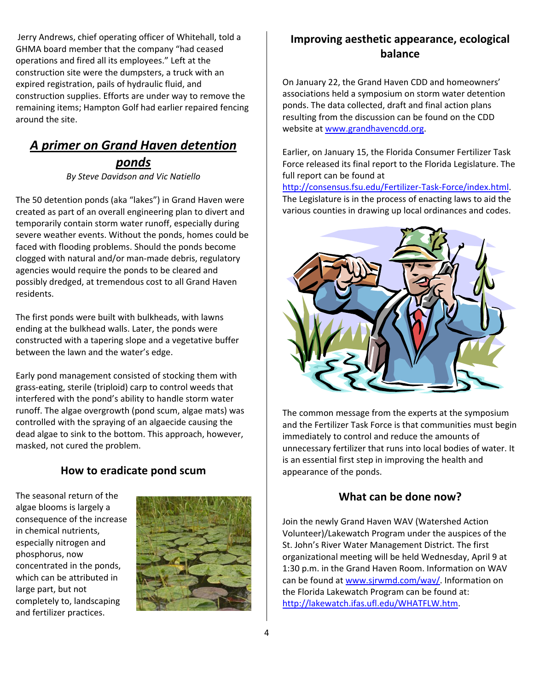Jerry Andrews, chief operating officer of Whitehall, told a GHMA board member that the company "had ceased operations and fired all its employees." Left at the construction site were the dumpsters, a truck with an expired registration, pails of hydraulic fluid, and construction supplies. Efforts are under way to remove the remaining items; Hampton Golf had earlier repaired fencing around the site.

## *A primer on Grand Haven detention ponds*

*By Steve Davidson and Vic Natiello*

The 50 detention ponds (aka "lakes") in Grand Haven were created as part of an overall engineering plan to divert and temporarily contain storm water runoff, especially during severe weather events. Without the ponds, homes could be faced with flooding problems. Should the ponds become clogged with natural and/or man‐made debris, regulatory agencies would require the ponds to be cleared and possibly dredged, at tremendous cost to all Grand Haven residents.

The first ponds were built with bulkheads, with lawns ending at the bulkhead walls. Later, the ponds were constructed with a tapering slope and a vegetative buffer between the lawn and the water's edge.

Early pond management consisted of stocking them with grass‐eating, sterile (triploid) carp to control weeds that interfered with the pond's ability to handle storm water runoff. The algae overgrowth (pond scum, algae mats) was controlled with the spraying of an algaecide causing the dead algae to sink to the bottom. This approach, however, masked, not cured the problem.

#### **How to eradicate pond scum**

The seasonal return of the algae blooms is largely a consequence of the increase in chemical nutrients, especially nitrogen and phosphorus, now concentrated in the ponds, which can be attributed in large part, but not completely to, landscaping and fertilizer practices.



#### **Improving aesthetic appearance, ecological balance**

On January 22, the Grand Haven CDD and homeowners' associations held a symposium on storm water detention ponds. The data collected, draft and final action plans resulting from the discussion can be found on the CDD website at www.grandhavencdd.org.

Earlier, on January 15, the Florida Consumer Fertilizer Task Force released its final report to the Florida Legislature. The full report can be found at

http://consensus.fsu.edu/Fertilizer‐Task‐Force/index.html. The Legislature is in the process of enacting laws to aid the various counties in drawing up local ordinances and codes.



The common message from the experts at the symposium and the Fertilizer Task Force is that communities must begin immediately to control and reduce the amounts of unnecessary fertilizer that runs into local bodies of water. It is an essential first step in improving the health and appearance of the ponds.

#### **What can be done now?**

Join the newly Grand Haven WAV (Watershed Action Volunteer)/Lakewatch Program under the auspices of the St. John's River Water Management District. The first organizational meeting will be held Wednesday, April 9 at 1:30 p.m. in the Grand Haven Room. Information on WAV can be found at www.sjrwmd.com/wav/. Information on the Florida Lakewatch Program can be found at: http://lakewatch.ifas.ufl.edu/WHATFLW.htm.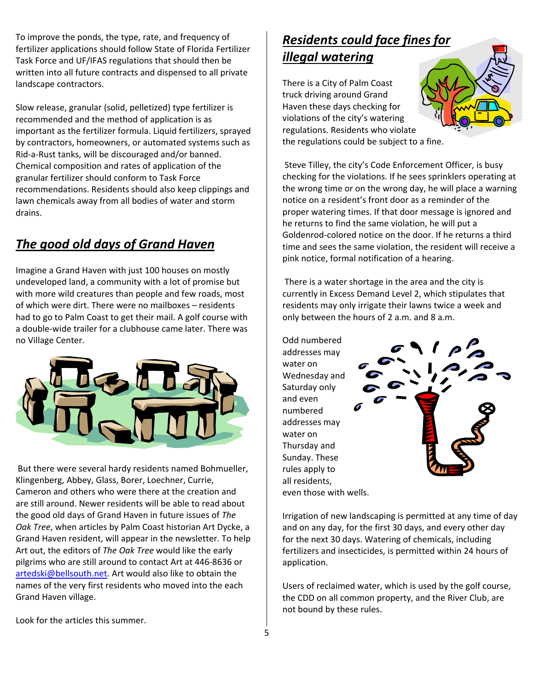To improve the ponds, the type, rate, and frequency of fertilizer applications should follow State of Florida Fertilizer Task Force and UF/IFAS regulations that should then be written into all future contracts and dispensed to all private landscape contractors.

Slow release, granular (solid, pelletized) type fertilizer is recommended and the method of application is as important as the fertilizer formula. Liquid fertilizers, sprayed by contractors, homeowners, or automated systems such as Rid‐a‐Rust tanks, will be discouraged and/or banned. Chemical composition and rates of application of the granular fertilizer should conform to Task Force recommendations. Residents should also keep clippings and lawn chemicals away from all bodies of water and storm drains.

## *The good old days of Grand Haven*

Imagine a Grand Haven with just 100 houses on mostly undeveloped land, a community with a lot of promise but with more wild creatures than people and few roads, most of which were dirt. There were no mailboxes – residents had to go to Palm Coast to get their mail. A golf course with a double‐wide trailer for a clubhouse came later. There was no Village Center.



But there were several hardy residents named Bohmueller, Klingenberg, Abbey, Glass, Borer, Loechner, Currie, Cameron and others who were there at the creation and are still around. Newer residents will be able to read about the good old days of Grand Haven in future issues of *The Oak Tree*, when articles by Palm Coast historian Art Dycke, a Grand Haven resident, will appear in the newsletter. To help Art out, the editors of *The Oak Tree* would like the early pilgrims who are still around to contact Art at 446‐8636 or artedski@bellsouth.net. Art would also like to obtain the names of the very first residents who moved into the each Grand Haven village.

# *Residents could face fines for illegal watering*

There is a City of Palm Coast truck driving around Grand Haven these days checking for violations of the city's watering regulations. Residents who violate the regulations could be subject to a fine.

Steve Tilley, the city's Code Enforcement Officer, is busy checking for the violations. If he sees sprinklers operating at the wrong time or on the wrong day, he will place a warning notice on a resident's front door as a reminder of the proper watering times. If that door message is ignored and he returns to find the same violation, he will put a Goldenrod‐colored notice on the door. If he returns a third time and sees the same violation, the resident will receive a pink notice, formal notification of a hearing.

There is a water shortage in the area and the city is currently in Excess Demand Level 2, which stipulates that residents may only irrigate their lawns twice a week and only between the hours of 2 a.m. and 8 a.m.

Odd numbered addresses may water on Wednesday and Saturday only and even numbered addresses may water on Thursday and Sunday. These rules apply to all residents, even those with wells.



Irrigation of new landscaping is permitted at any time of day and on any day, for the first 30 days, and every other day for the next 30 days. Watering of chemicals, including fertilizers and insecticides, is permitted within 24 hours of application.

Users of reclaimed water, which is used by the golf course, the CDD on all common property, and the River Club, are not bound by these rules.

Look for the articles this summer.